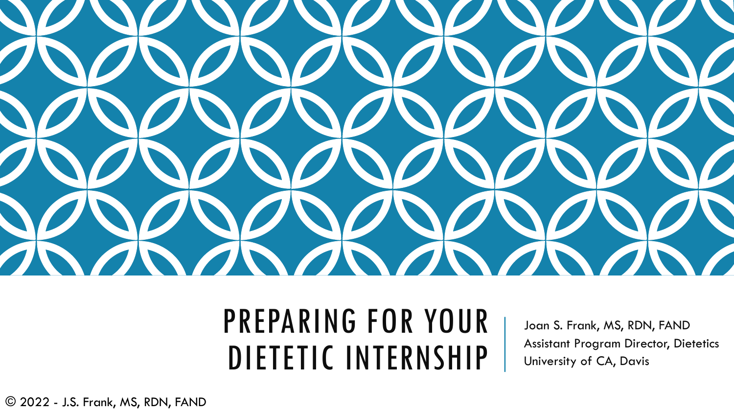

## PREPARING FOR YOUR DIETETIC INTERNSHIP

Joan S. Frank, MS, RDN, FAND Assistant Program Director, Dietetics University of CA, Davis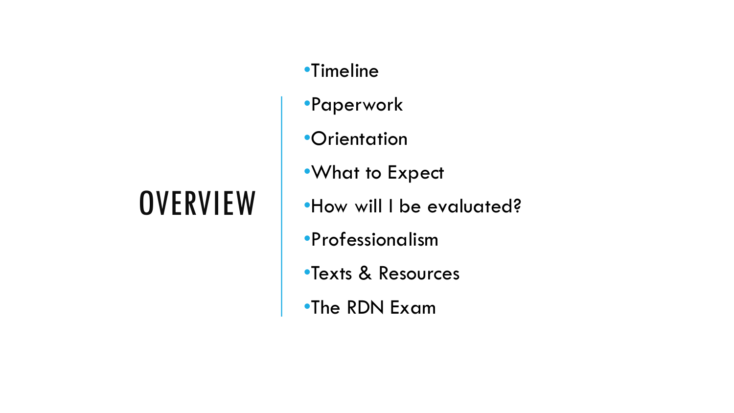## **OVERVIEW**

- •Timeline
- •Paperwork
- **•Orientation**
- •What to Expect
- •How will I be evaluated?
- •Professionalism
- •Texts & Resources
- •The RDN Exam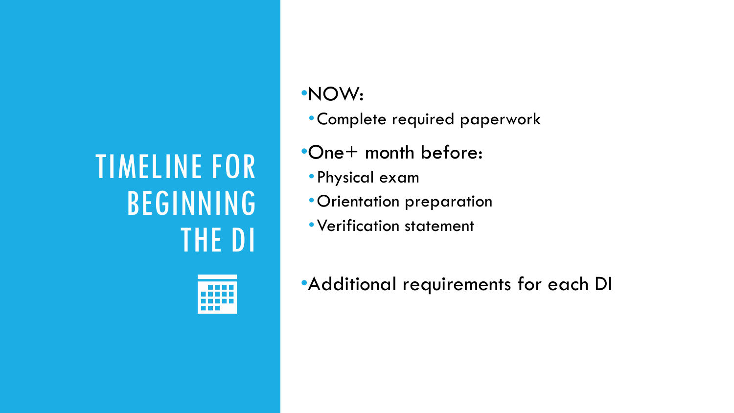## TIMELINE FOR BEGINNING THE DI



#### •NOW:

- •Complete required paperwork
- •One+ month before:
- •Physical exam
- •Orientation preparation
- •Verification statement

•Additional requirements for each DI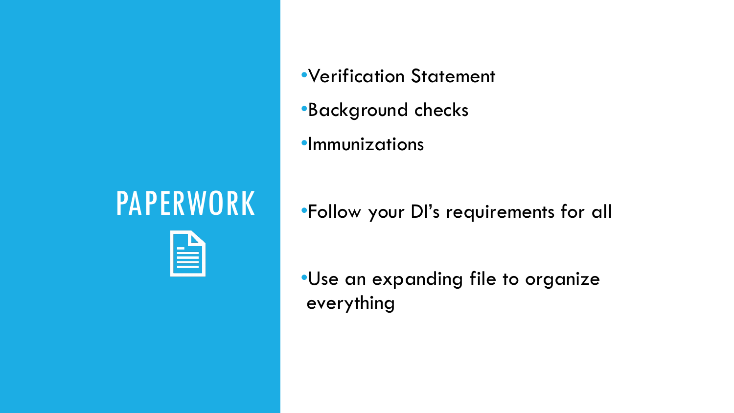### PAPERWORK



- •Verification Statement
- •Background checks
- •Immunizations

•Follow your DI's requirements for all

•Use an expanding file to organize everything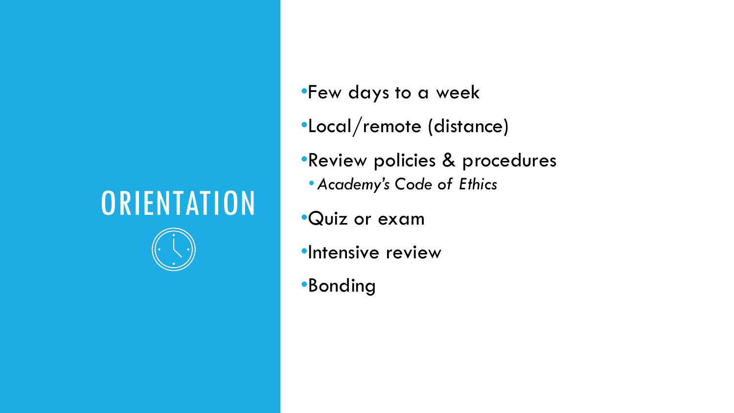#### **ORIENTATION**



- •Few days to a week
- •Local/remote (distance)
- •Review policies & procedures
	- •*Academy's Code of Ethics*
- •Quiz or exam
- •Intensive review
- •Bonding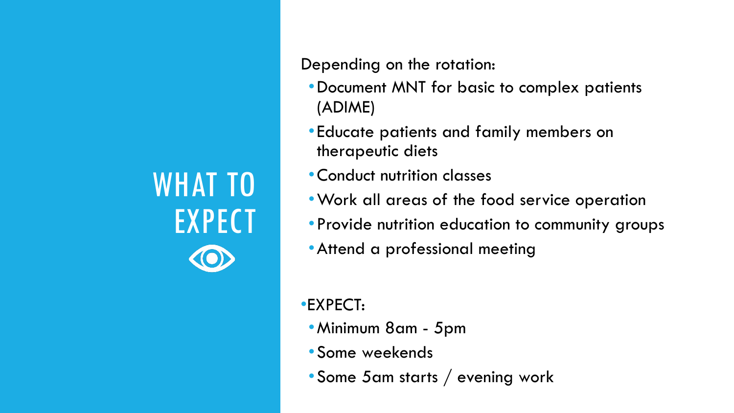# WHAT TO **EXPECT**

Depending on the rotation:

- •Document MNT for basic to complex patients (ADIME)
- •Educate patients and family members on therapeutic diets
- •Conduct nutrition classes
- •Work all areas of the food service operation
- •Provide nutrition education to community groups
- •Attend a professional meeting

•EXPECT:

- •Minimum 8am 5pm
- •Some weekends
- •Some 5am starts / evening work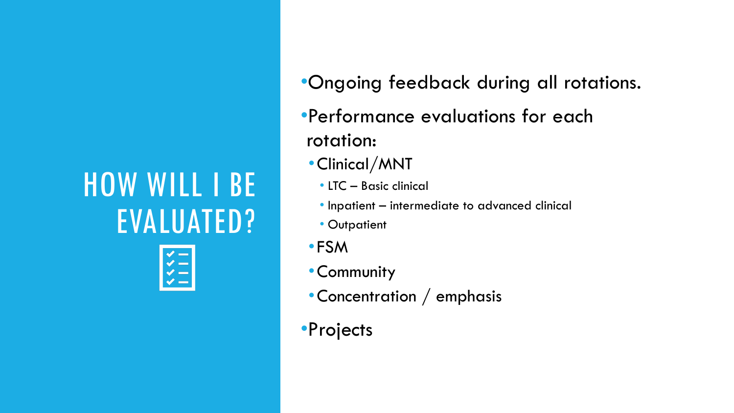# HOW WILL I BE EVALUATED?



- •Ongoing feedback during all rotations.
- •Performance evaluations for each rotation:
	- •Clinical/MNT
		- LTC Basic clinical
		- Inpatient intermediate to advanced clinical
		- Outpatient
- •FSM
- •Community
- •Concentration / emphasis
- •Projects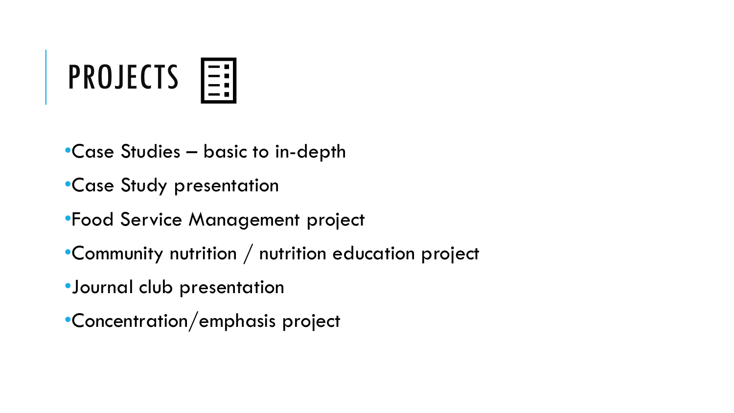

- •Case Studies basic to in-depth
- •Case Study presentation
- •Food Service Management project
- •Community nutrition / nutrition education project
- •Journal club presentation
- •Concentration/emphasis project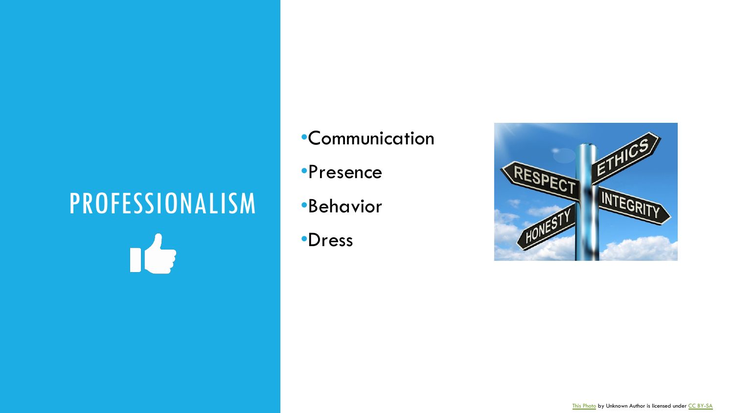# PROFESSIONALISM n's

- •Communication
- •Presence
- •Behavior
- •Dress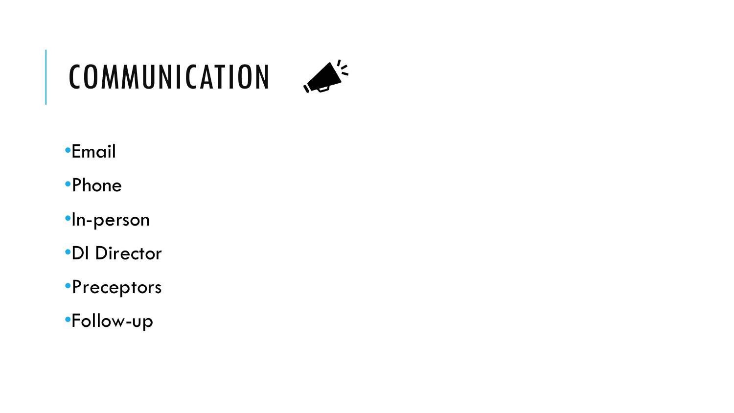

#### •Email

#### •Phone

- •In-person
- •DI Director
- •Preceptors
- •Follow-up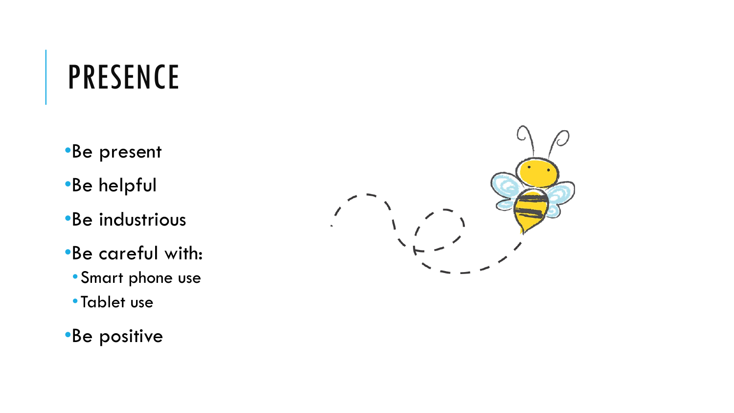## PRESENCE

- •Be present
- •Be helpful
- •Be industrious
- •Be careful with:
	- •Smart phone use
	- •Tablet use
- •Be positive

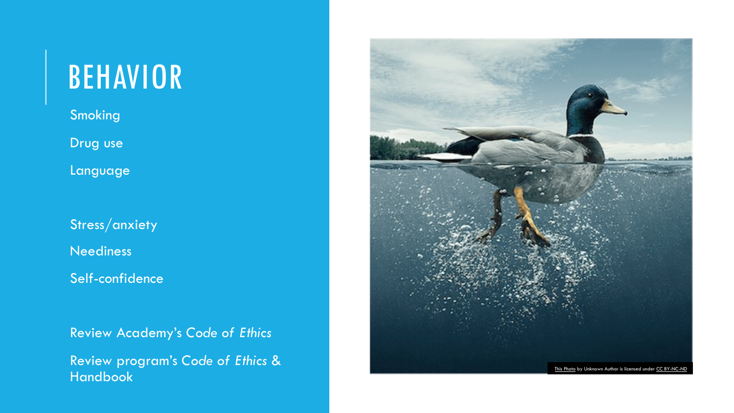#### BEHAVIOR

**Smoking** 

Drug use

**Language** 

Stress/anxiety

**Neediness** 

Self-confidence

•Review Academy's *Code of Ethics*

•Review program's *Code of Ethics* & Handbook

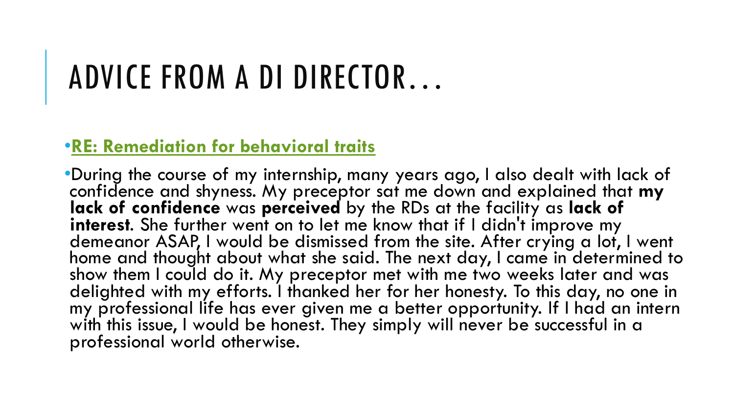## ADVICE FROM A DI DIRECTOR…

#### •**RE: Remediation for behavioral traits**

•During the course of my internship, many years ago confidence and shyness. My preceptor sat me dow **lack of confidence** was perceived by the RDs at the **interest.** She further went on to let me know that if demeanor ASAP, I would be dismissed from the site home and thought about what she said. The next d show them I could do it. My preceptor met with me delighted with my efforts. I thanked her for her hor my professional life has ever given me a better op with this issue, I would be honest. They simply will n professional world otherwise.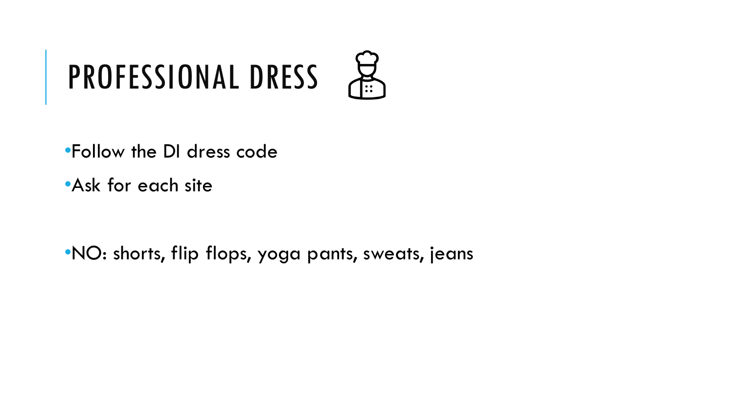# PROFESSIONAL DRESS  $\frac{52}{102}$

•Follow the DI dress code

•Ask for each site

•NO: shorts, flip flops, yoga pants, sweats, jeans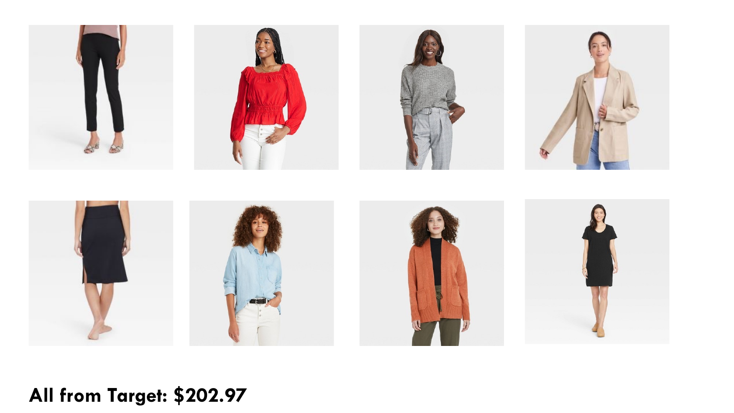

**All from Target: \$202.97**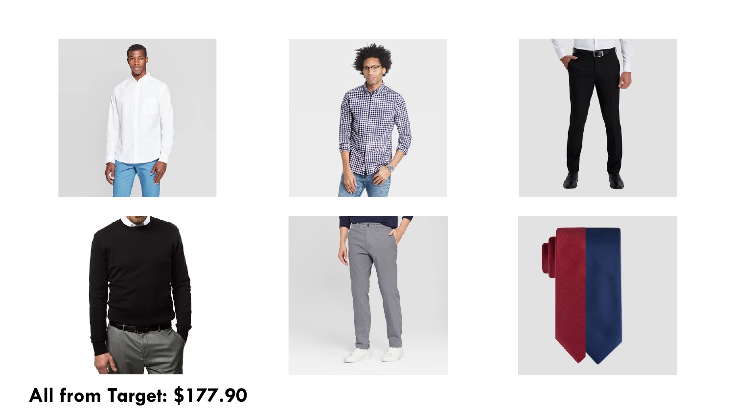











#### **All from Target: \$177.90**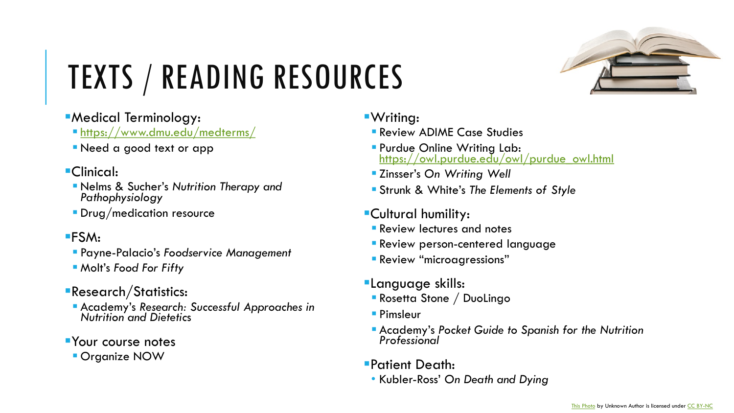## TEXTS / READING RESOURCES

#### **•Medical Terminology:**

- § https://www.dmu.edu/medterms/
- § Need a good text or app
- ■Clinical:
	- § Nelms & Sucher's *Nutrition Therapy and Pathophysiology*
	- **Drug/medication resource**
- §FSM:
	- § Payne-Palacio's *Foodservice Management*
	- § Molt's *Food For Fifty*
- ■Research/Statistics:
	- § Academy's *Research: Successful Approaches in Nutrition and Dietetic*<sup>s</sup>
- **•Your course notes** 
	- **Organize NOW**
- §Writing:
	- **Review ADIME Comparison**
	- **Purdue Online W** https://owl.purdu
	- Zinsser's On Writ
	- **Strunk & White's**
- §Cultural humility:
	- **Review lectures and notes**
	- $\blacksquare$  Review person-ce
	- **Review "microagress**
- **ELanguage skills:** 
	- **Rosetta Stone / D**
	- Pimsleur
	- § Academy's *Pocket Guide to Spanish for the Nutrition Professional*
- §Patient Death:
	- Kubler-Ross' On D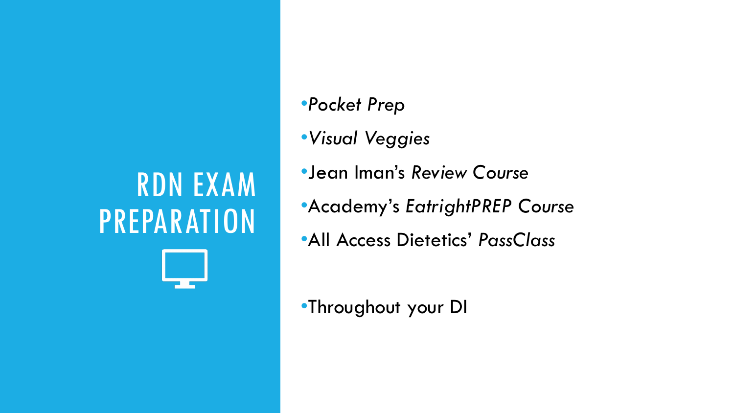# RDN EXAM PREPARATION

- •*Pocket Prep*
- •*Visual Veggies*
- •Jean Iman's *Review Course*
- •Academy's *EatrightPREP Course*
- •All Access Dietetics' *PassClass*

•Throughout your DI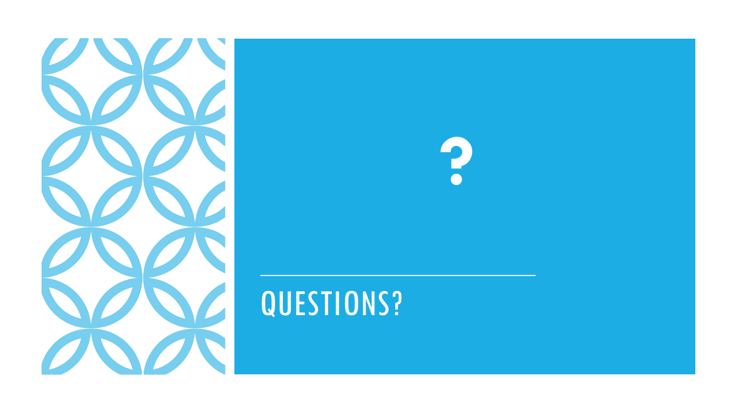

## QUESTIONS?